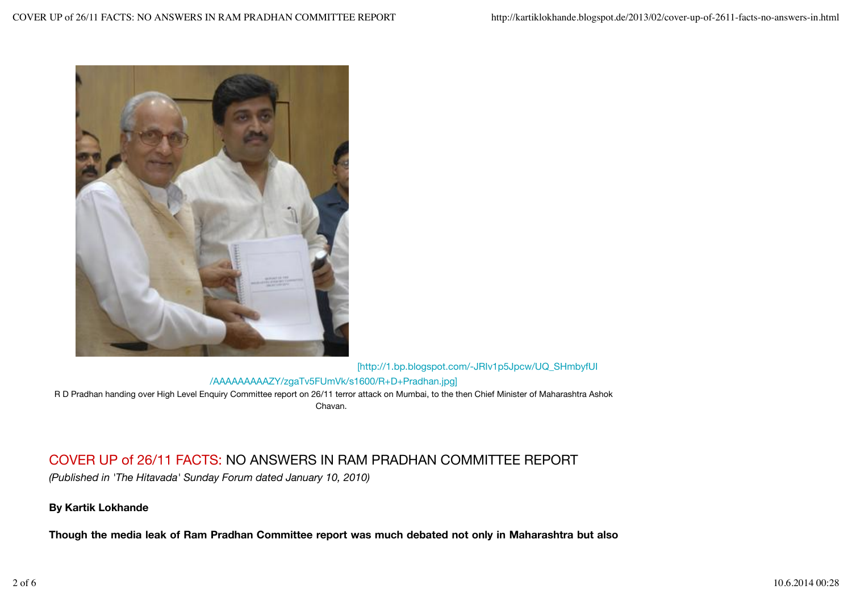

[http://1.bp.blogspot.com/-JRIv1p5Jpcw/UQ\_SHmbyfUI

## /AAAAAAAAAZY/zgaTv5FUmVk/s1600/R+D+Pradhan.jpg]

R D Pradhan handing over High Level Enquiry Committee report on 26/11 terror attack on Mumbai, to the then Chief Minister of Maharashtra Ashok Chavan.

## COVER UP of 26/11 FACTS: NO ANSWERS IN RAM PRADHAN COMMITTEE REPORT

*(Published in 'The Hitavada' Sunday Forum dated January 10, 2010)* 

## **By Kartik Lokhande**

**Though the media leak of Ram Pradhan Committee report was much debated not only in Maharashtra but also**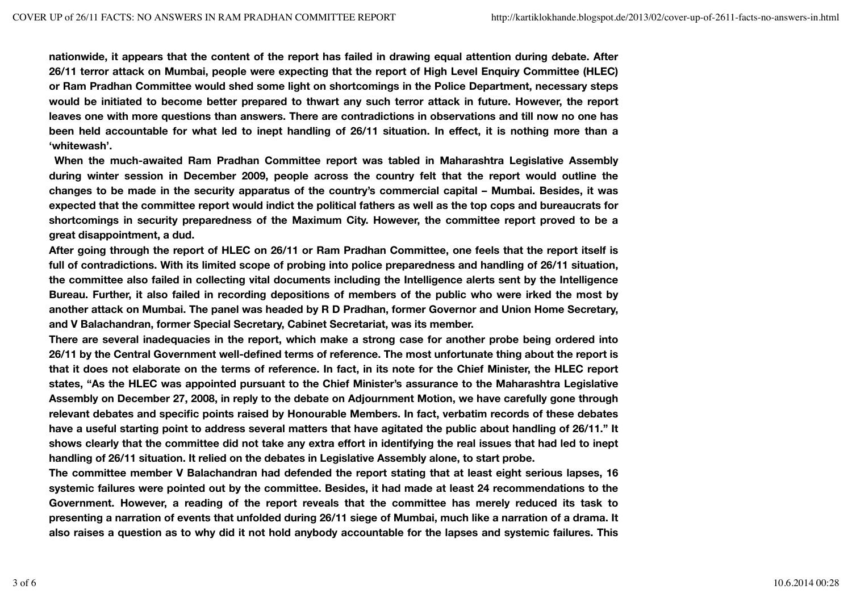**nationwide, it appears that the content of the report has failed in drawing equal attention during debate. After 26/11 terror attack on Mumbai, people were expecting that the report of High Level Enquiry Committee (HLEC) or Ram Pradhan Committee would shed some light on shortcomings in the Police Department, necessary steps would be initiated to become better prepared to thwart any such terror attack in future. However, the report leaves one with more questions than answers. There are contradictions in observations and till now no one has been held accountable for what led to inept handling of 26/11 situation. In effect, it is nothing more than a 'whitewash'.**

**When the much-awaited Ram Pradhan Committee report was tabled in Maharashtra Legislative Assembly during winter session in December 2009, people across the country felt that the report would outline the changes to be made in the security apparatus of the country's commercial capital – Mumbai. Besides, it was expected that the committee report would indict the political fathers as well as the top cops and bureaucrats for shortcomings in security preparedness of the Maximum City. However, the committee report proved to be a great disappointment, a dud.**

**After going through the report of HLEC on 26/11 or Ram Pradhan Committee, one feels that the report itself is full of contradictions. With its limited scope of probing into police preparedness and handling of 26/11 situation, the committee also failed in collecting vital documents including the Intelligence alerts sent by the Intelligence Bureau. Further, it also failed in recording depositions of members of the public who were irked the most by another attack on Mumbai. The panel was headed by R D Pradhan, former Governor and Union Home Secretary, and V Balachandran, former Special Secretary, Cabinet Secretariat, was its member.**

**There are several inadequacies in the report, which make a strong case for another probe being ordered into 26/11 by the Central Government well-defined terms of reference. The most unfortunate thing about the report is that it does not elaborate on the terms of reference. In fact, in its note for the Chief Minister, the HLEC report states, "As the HLEC was appointed pursuant to the Chief Minister's assurance to the Maharashtra Legislative Assembly on December 27, 2008, in reply to the debate on Adjournment Motion, we have carefully gone through relevant debates and specific points raised by Honourable Members. In fact, verbatim records of these debates have a useful starting point to address several matters that have agitated the public about handling of 26/11." It shows clearly that the committee did not take any extra effort in identifying the real issues that had led to inept handling of 26/11 situation. It relied on the debates in Legislative Assembly alone, to start probe.**

**The committee member V Balachandran had defended the report stating that at least eight serious lapses, 16 systemic failures were pointed out by the committee. Besides, it had made at least 24 recommendations to the Government. However, a reading of the report reveals that the committee has merely reduced its task to presenting a narration of events that unfolded during 26/11 siege of Mumbai, much like a narration of a drama. It also raises a question as to why did it not hold anybody accountable for the lapses and systemic failures. This**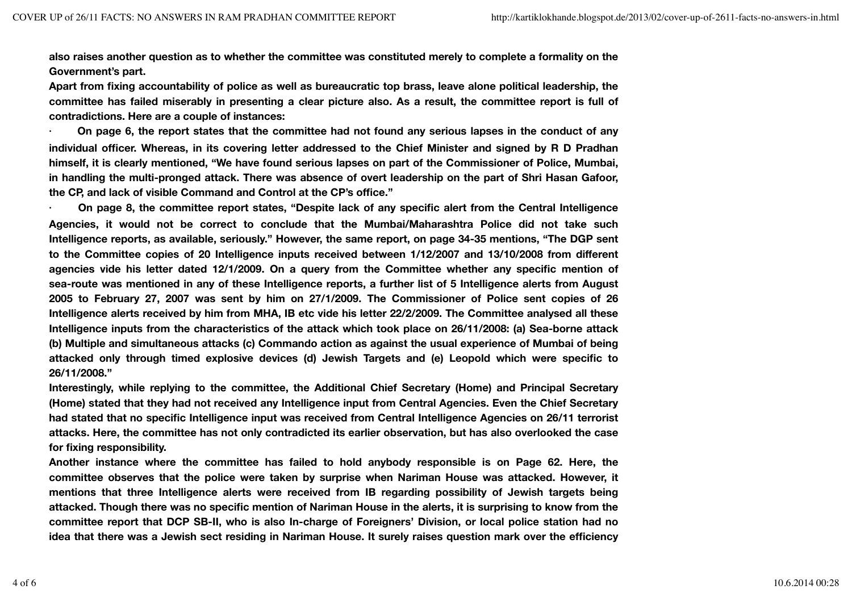**also raises another question as to whether the committee was constituted merely to complete a formality on the Government's part.**

**Apart from fixing accountability of police as well as bureaucratic top brass, leave alone political leadership, the committee has failed miserably in presenting a clear picture also. As a result, the committee report is full of contradictions. Here are a couple of instances:**

**· On page 6, the report states that the committee had not found any serious lapses in the conduct of any individual officer. Whereas, in its covering letter addressed to the Chief Minister and signed by R D Pradhan himself, it is clearly mentioned, "We have found serious lapses on part of the Commissioner of Police, Mumbai, in handling the multi-pronged attack. There was absence of overt leadership on the part of Shri Hasan Gafoor, the CP, and lack of visible Command and Control at the CP's office."**

**· On page 8, the committee report states, "Despite lack of any specific alert from the Central Intelligence Agencies, it would not be correct to conclude that the Mumbai/Maharashtra Police did not take such Intelligence reports, as available, seriously." However, the same report, on page 34-35 mentions, "The DGP sent to the Committee copies of 20 Intelligence inputs received between 1/12/2007 and 13/10/2008 from different agencies vide his letter dated 12/1/2009. On a query from the Committee whether any specific mention of sea-route was mentioned in any of these Intelligence reports, a further list of 5 Intelligence alerts from August 2005 to February 27, 2007 was sent by him on 27/1/2009. The Commissioner of Police sent copies of 26 Intelligence alerts received by him from MHA, IB etc vide his letter 22/2/2009. The Committee analysed all these Intelligence inputs from the characteristics of the attack which took place on 26/11/2008: (a) Sea-borne attack (b) Multiple and simultaneous attacks (c) Commando action as against the usual experience of Mumbai of being attacked only through timed explosive devices (d) Jewish Targets and (e) Leopold which were specific to 26/11/2008."**

**Interestingly, while replying to the committee, the Additional Chief Secretary (Home) and Principal Secretary (Home) stated that they had not received any Intelligence input from Central Agencies. Even the Chief Secretary had stated that no specific Intelligence input was received from Central Intelligence Agencies on 26/11 terrorist attacks. Here, the committee has not only contradicted its earlier observation, but has also overlooked the case for fixing responsibility.**

**Another instance where the committee has failed to hold anybody responsible is on Page 62. Here, the committee observes that the police were taken by surprise when Nariman House was attacked. However, it mentions that three Intelligence alerts were received from IB regarding possibility of Jewish targets being attacked. Though there was no specific mention of Nariman House in the alerts, it is surprising to know from the committee report that DCP SB-II, who is also In-charge of Foreigners' Division, or local police station had no idea that there was a Jewish sect residing in Nariman House. It surely raises question mark over the efficiency**